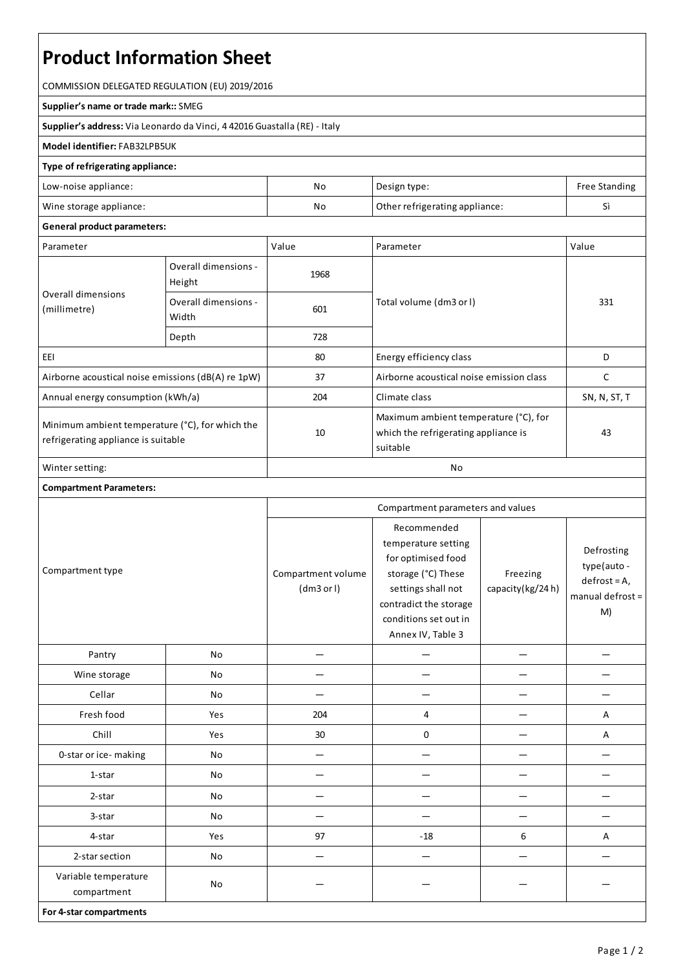# **Product Information Sheet**

COMMISSION DELEGATED REGULATION (EU) 2019/2016

#### **Supplier's name or trade mark::**SMEG

**Supplier's address:** ViaLeonardo da Vinci, 4 42016 Guastalla(RE) - Italy

### **Model identifier:**FAB32LPB5UK

#### **Type of refrigerating appliance:**

| Low-noise appliance:    | No | Design type:                   | Free Standing |
|-------------------------|----|--------------------------------|---------------|
| Wine storage appliance: | No | Other refrigerating appliance: |               |

## **General product parameters:**

| Parameter                                                                                 |                                | Value | Parameter                                                                                 | Value        |
|-------------------------------------------------------------------------------------------|--------------------------------|-------|-------------------------------------------------------------------------------------------|--------------|
| Overall dimensions<br>(millimetre)                                                        | Overall dimensions -<br>Height | 1968  |                                                                                           | 331          |
|                                                                                           | Overall dimensions -<br>Width  | 601   | Total volume (dm3 or l)                                                                   |              |
|                                                                                           | Depth                          | 728   |                                                                                           |              |
| EEI                                                                                       |                                | 80    | Energy efficiency class                                                                   | D            |
| Airborne acoustical noise emissions (dB(A) re 1pW)                                        |                                | 37    | Airborne acoustical noise emission class                                                  | C            |
| Annual energy consumption (kWh/a)                                                         |                                | 204   | Climate class                                                                             | SN, N, ST, T |
| Minimum ambient temperature $(°C)$ , for which the<br>refrigerating appliance is suitable |                                | 10    | Maximum ambient temperature (°C), for<br>which the refrigerating appliance is<br>suitable | 43           |
| Winter setting:                                                                           |                                | No    |                                                                                           |              |

## **Compartment Parameters:**

| Compartment type                    |     | Compartment parameters and values |                                                                                                                                                                              |                              |                                                                       |
|-------------------------------------|-----|-----------------------------------|------------------------------------------------------------------------------------------------------------------------------------------------------------------------------|------------------------------|-----------------------------------------------------------------------|
|                                     |     | Compartment volume<br>(dm3 or l)  | Recommended<br>temperature setting<br>for optimised food<br>storage (°C) These<br>settings shall not<br>contradict the storage<br>conditions set out in<br>Annex IV, Table 3 | Freezing<br>capacity(kg/24h) | Defrosting<br>type(auto -<br>$defrost = A,$<br>manual defrost =<br>M) |
| Pantry                              | No  |                                   |                                                                                                                                                                              |                              |                                                                       |
| Wine storage                        | No  |                                   |                                                                                                                                                                              |                              |                                                                       |
| Cellar                              | No  |                                   |                                                                                                                                                                              |                              |                                                                       |
| Fresh food                          | Yes | 204                               | 4                                                                                                                                                                            |                              | Α                                                                     |
| Chill                               | Yes | 30                                | 0                                                                                                                                                                            |                              | Α                                                                     |
| 0-star or ice-making                | No  |                                   |                                                                                                                                                                              |                              |                                                                       |
| 1-star                              | No  |                                   |                                                                                                                                                                              |                              |                                                                       |
| 2-star                              | No  |                                   |                                                                                                                                                                              |                              |                                                                       |
| 3-star                              | No  |                                   |                                                                                                                                                                              |                              |                                                                       |
| 4-star                              | Yes | 97                                | $-18$                                                                                                                                                                        | 6                            | Α                                                                     |
| 2-star section                      | No  |                                   |                                                                                                                                                                              |                              |                                                                       |
| Variable temperature<br>compartment | No  |                                   |                                                                                                                                                                              |                              |                                                                       |
| For 4-star compartments             |     |                                   |                                                                                                                                                                              |                              |                                                                       |